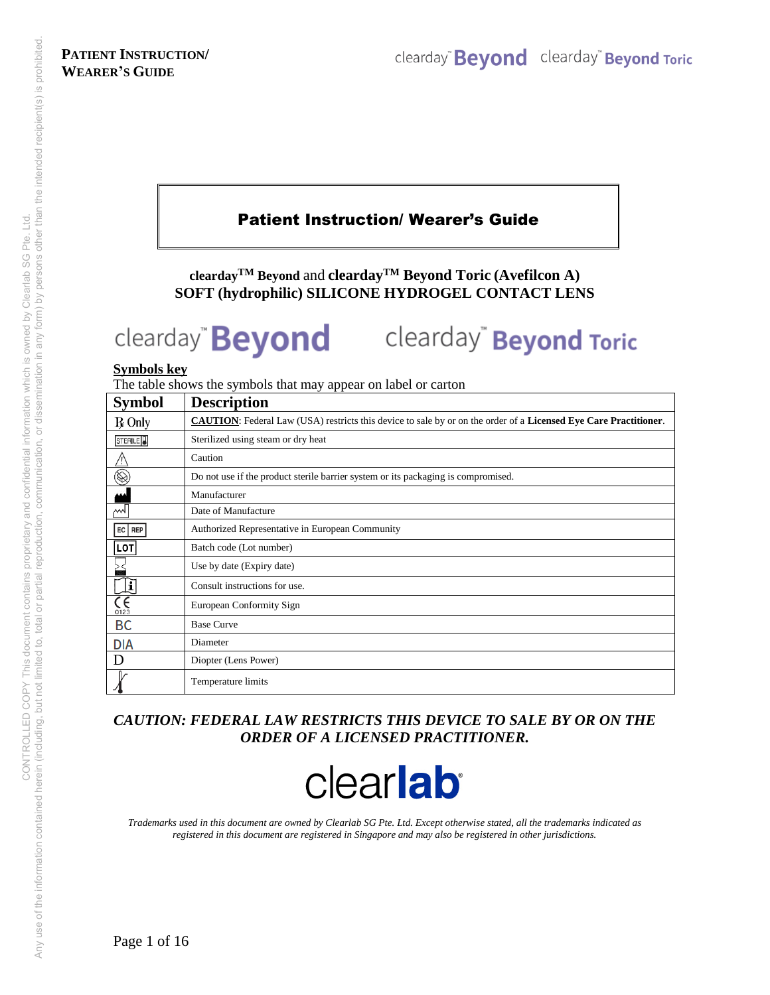# Patient Instruction/ Wearer's Guide

**cleardayTM Beyond** and **cleardayTM Beyond Toric (Avefilcon A) SOFT (hydrophilic) SILICONE HYDROGEL CONTACT LENS** 

# clearday<sup>"</sup> Beyond Toric clearday" **Beyond**

#### **Symbols key**

The table shows the symbols that may appear on label or carton

| <b>Symbol</b>          | <b>Description</b>                                                                                                      |
|------------------------|-------------------------------------------------------------------------------------------------------------------------|
| <b>R</b> Only          | <b>CAUTION:</b> Federal Law (USA) restricts this device to sale by or on the order of a Licensed Eye Care Practitioner. |
| STERILE <sup>D</sup>   | Sterilized using steam or dry heat                                                                                      |
|                        | Caution                                                                                                                 |
| $\circledS$            | Do not use if the product sterile barrier system or its packaging is compromised.                                       |
|                        | Manufacturer                                                                                                            |
| $w_1$                  | Date of Manufacture                                                                                                     |
| EC   REP               | Authorized Representative in European Community                                                                         |
| <b>LOT</b>             | Batch code (Lot number)                                                                                                 |
|                        | Use by date (Expiry date)                                                                                               |
| Ę                      | Consult instructions for use.                                                                                           |
| $\zeta_{\frac{6}{23}}$ | European Conformity Sign                                                                                                |
| BC                     | <b>Base Curve</b>                                                                                                       |
| <b>DIA</b>             | Diameter                                                                                                                |
| D                      | Diopter (Lens Power)                                                                                                    |
|                        | Temperature limits                                                                                                      |

### *CAUTION: FEDERAL LAW RESTRICTS THIS DEVICE TO SALE BY OR ON THE ORDER OF A LICENSED PRACTITIONER.*



*Trademarks used in this document are owned by Clearlab SG Pte. Ltd. Except otherwise stated, all the trademarks indicated as registered in this document are registered in Singapore and may also be registered in other jurisdictions.*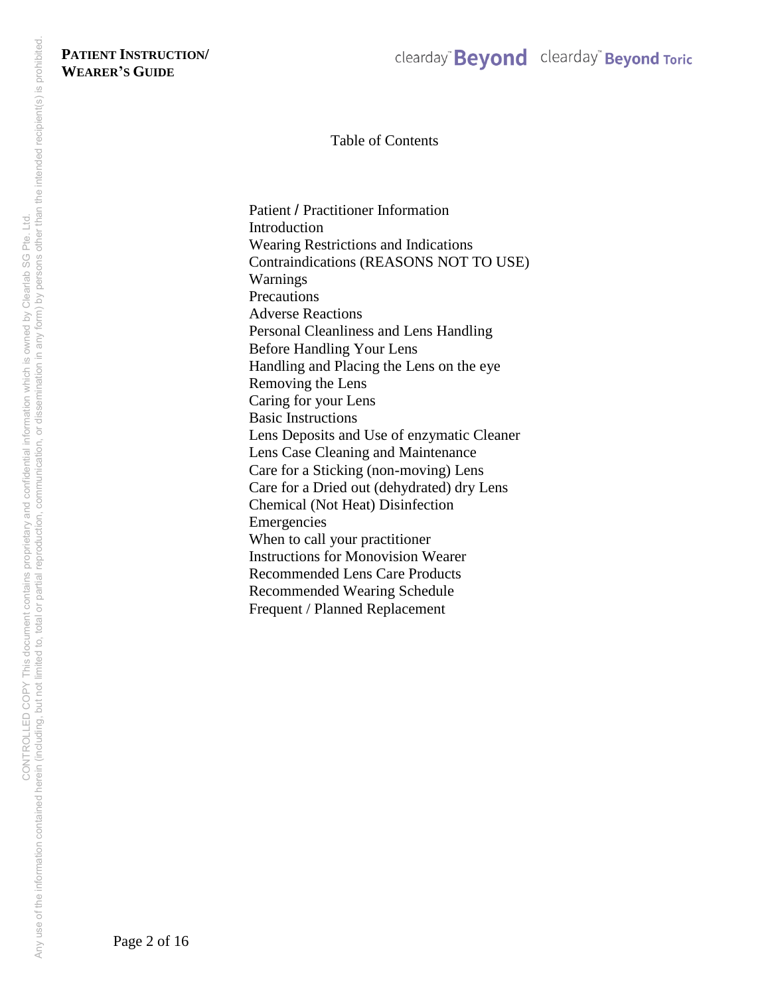Table of Contents

Patient / Practitioner Information Introduction Wearing Restrictions and Indications Contraindications (REASONS NOT TO USE) Warnings **Precautions** Adverse Reactions Personal Cleanliness and Lens Handling Before Handling Your Lens Handling and Placing the Lens on the eye Removing the Lens Caring for your Lens Basic Instructions Lens Deposits and Use of enzymatic Cleaner Lens Case Cleaning and Maintenance Care for a Sticking (non-moving) Lens Care for a Dried out (dehydrated) dry Lens Chemical (Not Heat) Disinfection Emergencies When to call your practitioner Instructions for Monovision Wearer Recommended Lens Care Products Recommended Wearing Schedule Frequent / Planned Replacement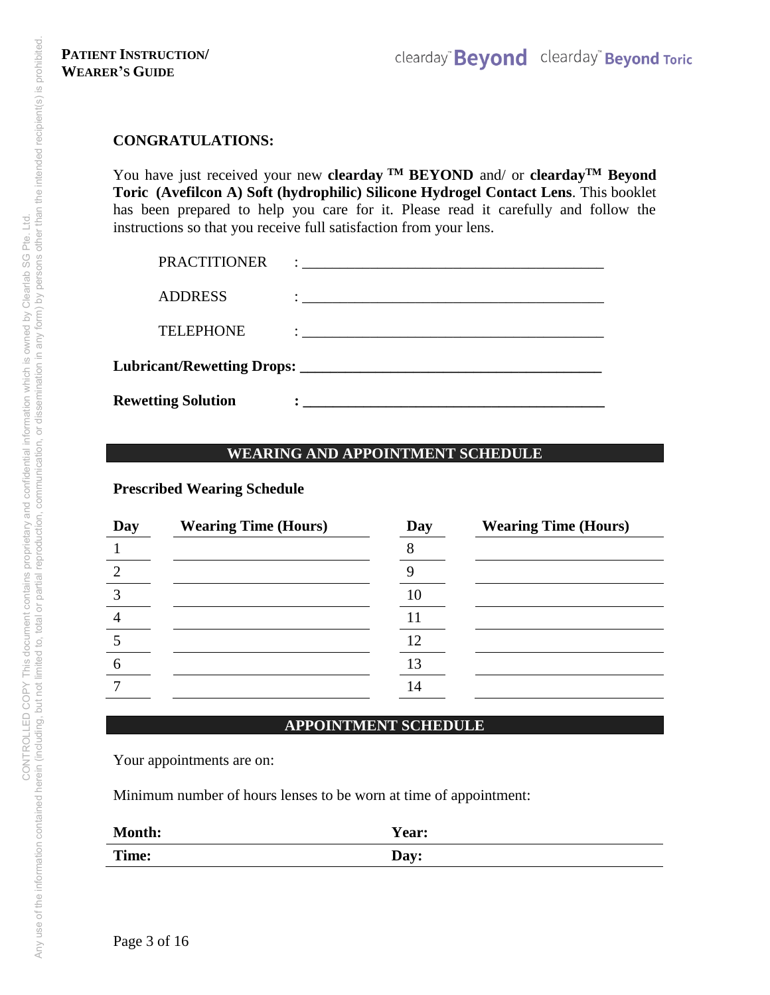#### **CONGRATULATIONS:**

You have just received your new **clearday TM BEYOND** and/ or **cleardayTM Beyond Toric (Avefilcon A) Soft (hydrophilic) Silicone Hydrogel Contact Lens**. This booklet has been prepared to help you care for it. Please read it carefully and follow the instructions so that you receive full satisfaction from your lens.

| <b>Rewetting Solution</b> |                                                                                                                                                                                                                                     |
|---------------------------|-------------------------------------------------------------------------------------------------------------------------------------------------------------------------------------------------------------------------------------|
|                           |                                                                                                                                                                                                                                     |
| <b>TELEPHONE</b>          |                                                                                                                                                                                                                                     |
| <b>ADDRESS</b>            |                                                                                                                                                                                                                                     |
| <b>PRACTITIONER</b>       | $\ddot{\cdot}$ . The contract of the contract of the contract of the contract of the contract of the contract of the contract of the contract of the contract of the contract of the contract of the contract of the contract of th |

### **WEARING AND APPOINTMENT SCHEDULE**

**Prescribed Wearing Schedule** 

| Day | <b>Wearing Time (Hours)</b> | Day | <b>Wearing Time (Hours)</b> |
|-----|-----------------------------|-----|-----------------------------|
|     |                             |     |                             |
|     |                             |     |                             |
|     |                             | 10  |                             |
|     |                             |     |                             |
|     |                             | 12  |                             |
|     |                             | 13  |                             |
|     |                             | 14  |                             |
|     |                             |     |                             |

### **APPOINTMENT SCHEDULE**

Your appointments are on:

Minimum number of hours lenses to be worn at time of appointment:

| Month: | Year: |
|--------|-------|
| Time:  | Day:  |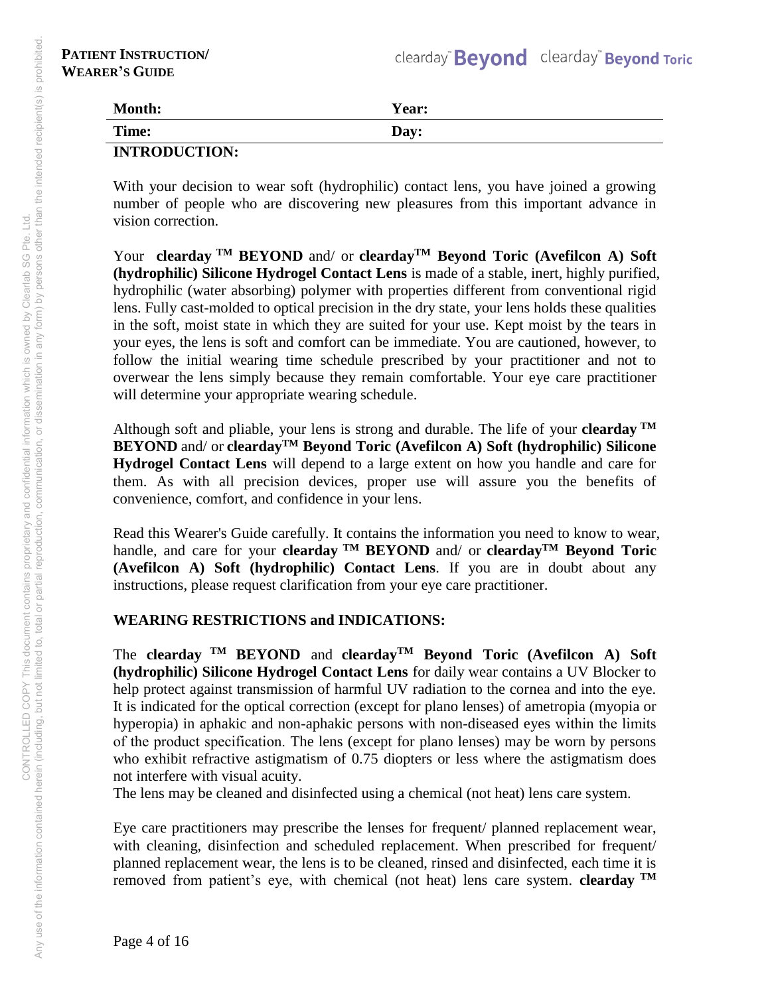| <b>Month:</b>        | Year: |
|----------------------|-------|
| Time:                | Day:  |
| <b>INTRODUCTION:</b> |       |

With your decision to wear soft (hydrophilic) contact lens, you have joined a growing number of people who are discovering new pleasures from this important advance in vision correction.

Your **clearday TM BEYOND** and/ or **cleardayTM Beyond Toric (Avefilcon A) Soft (hydrophilic) Silicone Hydrogel Contact Lens** is made of a stable, inert, highly purified, hydrophilic (water absorbing) polymer with properties different from conventional rigid lens. Fully cast-molded to optical precision in the dry state, your lens holds these qualities in the soft, moist state in which they are suited for your use. Kept moist by the tears in your eyes, the lens is soft and comfort can be immediate. You are cautioned, however, to follow the initial wearing time schedule prescribed by your practitioner and not to overwear the lens simply because they remain comfortable. Your eye care practitioner will determine your appropriate wearing schedule.

Although soft and pliable, your lens is strong and durable. The life of your **clearday TM BEYOND** and/ or **cleardayTM Beyond Toric (Avefilcon A) Soft (hydrophilic) Silicone Hydrogel Contact Lens** will depend to a large extent on how you handle and care for them. As with all precision devices, proper use will assure you the benefits of convenience, comfort, and confidence in your lens.

Read this Wearer's Guide carefully. It contains the information you need to know to wear, handle, and care for your **clearday TM BEYOND** and/ or **cleardayTM Beyond Toric (Avefilcon A) Soft (hydrophilic) Contact Lens**. If you are in doubt about any instructions, please request clarification from your eye care practitioner.

# **WEARING RESTRICTIONS and INDICATIONS:**

The **clearday TM BEYOND** and **cleardayTM Beyond Toric (Avefilcon A) Soft (hydrophilic) Silicone Hydrogel Contact Lens** for daily wear contains a UV Blocker to help protect against transmission of harmful UV radiation to the cornea and into the eye. It is indicated for the optical correction (except for plano lenses) of ametropia (myopia or hyperopia) in aphakic and non-aphakic persons with non-diseased eyes within the limits of the product specification. The lens (except for plano lenses) may be worn by persons who exhibit refractive astigmatism of 0.75 diopters or less where the astigmatism does not interfere with visual acuity.

The lens may be cleaned and disinfected using a chemical (not heat) lens care system.

Eye care practitioners may prescribe the lenses for frequent/ planned replacement wear, with cleaning, disinfection and scheduled replacement. When prescribed for frequent/ planned replacement wear, the lens is to be cleaned, rinsed and disinfected, each time it is removed from patient's eye, with chemical (not heat) lens care system. **clearday TM**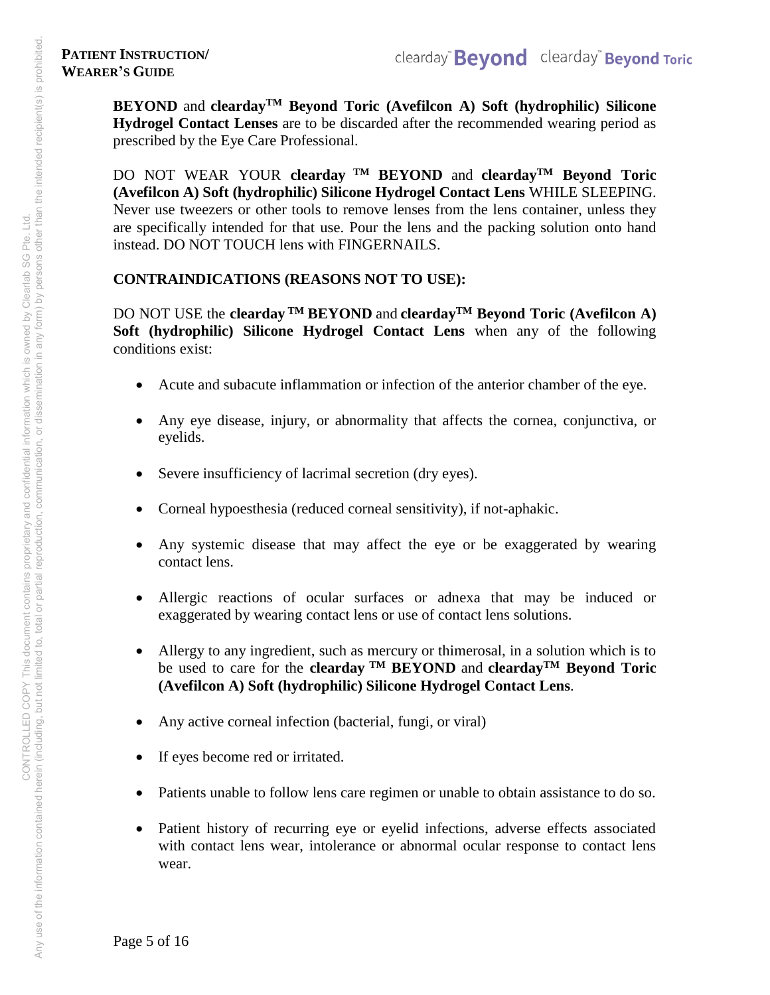**BEYOND** and **cleardayTM Beyond Toric (Avefilcon A) Soft (hydrophilic) Silicone Hydrogel Contact Lenses** are to be discarded after the recommended wearing period as prescribed by the Eye Care Professional.

DO NOT WEAR YOUR **clearday TM BEYOND** and **cleardayTM Beyond Toric (Avefilcon A) Soft (hydrophilic) Silicone Hydrogel Contact Lens** WHILE SLEEPING. Never use tweezers or other tools to remove lenses from the lens container, unless they are specifically intended for that use. Pour the lens and the packing solution onto hand instead. DO NOT TOUCH lens with FINGERNAILS.

# **CONTRAINDICATIONS (REASONS NOT TO USE):**

DO NOT USE the **clearday TM BEYOND** and **cleardayTM Beyond Toric (Avefilcon A) Soft (hydrophilic) Silicone Hydrogel Contact Lens** when any of the following conditions exist:

- Acute and subacute inflammation or infection of the anterior chamber of the eye.
- Any eye disease, injury, or abnormality that affects the cornea, conjunctiva, or eyelids.
- Severe insufficiency of lacrimal secretion (dry eyes).
- Corneal hypoesthesia (reduced corneal sensitivity), if not-aphakic.
- Any systemic disease that may affect the eye or be exaggerated by wearing contact lens.
- Allergic reactions of ocular surfaces or adnexa that may be induced or exaggerated by wearing contact lens or use of contact lens solutions.
- Allergy to any ingredient, such as mercury or thimerosal, in a solution which is to be used to care for the **clearday TM BEYOND** and **cleardayTM Beyond Toric (Avefilcon A) Soft (hydrophilic) Silicone Hydrogel Contact Lens**.
- Any active corneal infection (bacterial, fungi, or viral)
- If eyes become red or irritated.
- Patients unable to follow lens care regimen or unable to obtain assistance to do so.
- Patient history of recurring eye or eyelid infections, adverse effects associated with contact lens wear, intolerance or abnormal ocular response to contact lens wear.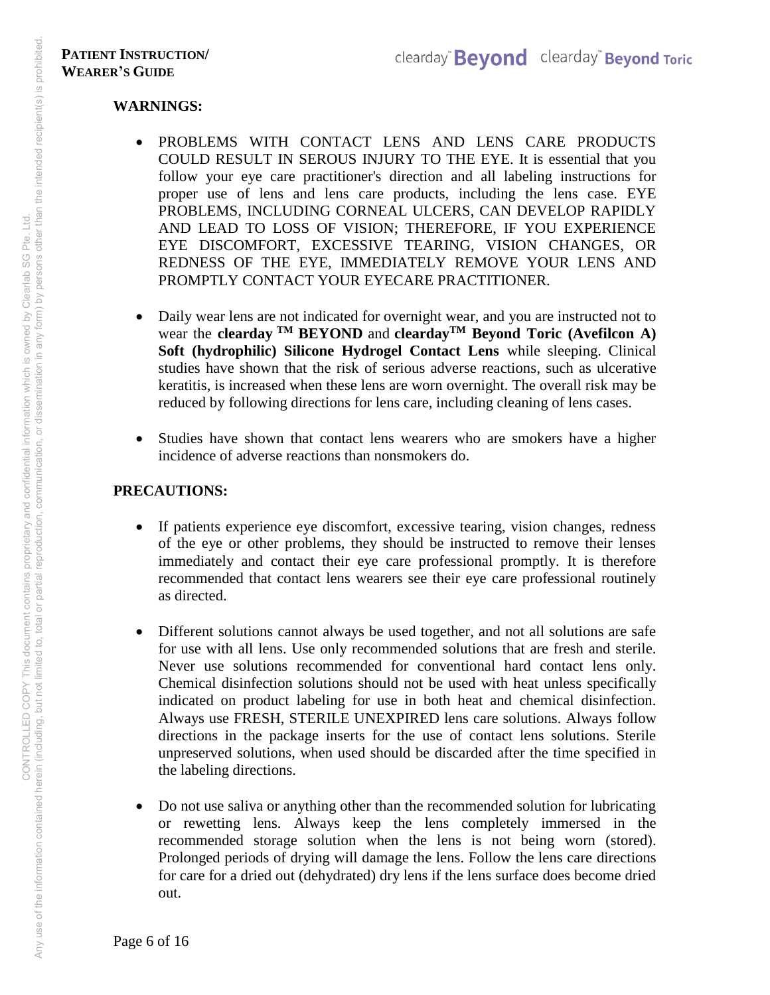### **WARNINGS:**

- PROBLEMS WITH CONTACT LENS AND LENS CARE PRODUCTS COULD RESULT IN SEROUS INJURY TO THE EYE. It is essential that you follow your eye care practitioner's direction and all labeling instructions for proper use of lens and lens care products, including the lens case. EYE PROBLEMS, INCLUDING CORNEAL ULCERS, CAN DEVELOP RAPIDLY AND LEAD TO LOSS OF VISION; THEREFORE, IF YOU EXPERIENCE EYE DISCOMFORT, EXCESSIVE TEARING, VISION CHANGES, OR REDNESS OF THE EYE, IMMEDIATELY REMOVE YOUR LENS AND PROMPTLY CONTACT YOUR EYECARE PRACTITIONER.
- Daily wear lens are not indicated for overnight wear, and you are instructed not to wear the **clearday TM BEYOND** and **cleardayTM Beyond Toric (Avefilcon A) Soft (hydrophilic) Silicone Hydrogel Contact Lens** while sleeping. Clinical studies have shown that the risk of serious adverse reactions, such as ulcerative keratitis, is increased when these lens are worn overnight. The overall risk may be reduced by following directions for lens care, including cleaning of lens cases.
- Studies have shown that contact lens wearers who are smokers have a higher incidence of adverse reactions than nonsmokers do.

# **PRECAUTIONS:**

- If patients experience eye discomfort, excessive tearing, vision changes, redness of the eye or other problems, they should be instructed to remove their lenses immediately and contact their eye care professional promptly. It is therefore recommended that contact lens wearers see their eye care professional routinely as directed.
- Different solutions cannot always be used together, and not all solutions are safe for use with all lens. Use only recommended solutions that are fresh and sterile. Never use solutions recommended for conventional hard contact lens only. Chemical disinfection solutions should not be used with heat unless specifically indicated on product labeling for use in both heat and chemical disinfection. Always use FRESH, STERILE UNEXPIRED lens care solutions. Always follow directions in the package inserts for the use of contact lens solutions. Sterile unpreserved solutions, when used should be discarded after the time specified in the labeling directions.
- Do not use saliva or anything other than the recommended solution for lubricating or rewetting lens. Always keep the lens completely immersed in the recommended storage solution when the lens is not being worn (stored). Prolonged periods of drying will damage the lens. Follow the lens care directions for care for a dried out (dehydrated) dry lens if the lens surface does become dried out.

Any use of the information contained herein (including, but not limited to, total or partial reproduction, communication, or dissemination in any form) by persons other than the intended recipient(s) is prohibited. Any use of the information contained herein (including, but not imitate to having proprietary and confidential information which is owned by Clearlab SG Pte. Ltd.<br>Any use of the information contained herein (including, but CONTROLLED COPY This document contains proprietary and confidential information which is owned by Clearlab SG Pte. Ltd.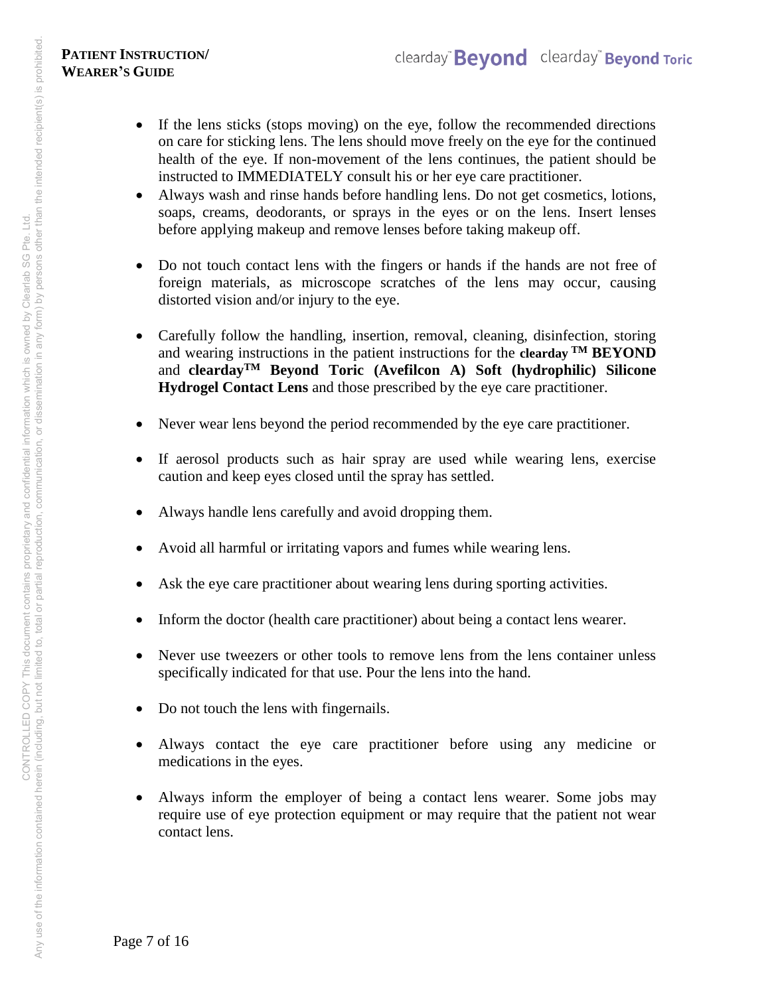- If the lens sticks (stops moving) on the eye, follow the recommended directions on care for sticking lens. The lens should move freely on the eye for the continued health of the eye. If non-movement of the lens continues, the patient should be instructed to IMMEDIATELY consult his or her eye care practitioner.
- Always wash and rinse hands before handling lens. Do not get cosmetics, lotions, soaps, creams, deodorants, or sprays in the eyes or on the lens. Insert lenses before applying makeup and remove lenses before taking makeup off.
- Do not touch contact lens with the fingers or hands if the hands are not free of foreign materials, as microscope scratches of the lens may occur, causing distorted vision and/or injury to the eye.
- Carefully follow the handling, insertion, removal, cleaning, disinfection, storing and wearing instructions in the patient instructions for the **clearday TM BEYOND**  and **cleardayTM Beyond Toric (Avefilcon A) Soft (hydrophilic) Silicone Hydrogel Contact Lens** and those prescribed by the eye care practitioner.
- Never wear lens beyond the period recommended by the eye care practitioner.
- If aerosol products such as hair spray are used while wearing lens, exercise caution and keep eyes closed until the spray has settled.
- Always handle lens carefully and avoid dropping them.
- Avoid all harmful or irritating vapors and fumes while wearing lens.
- Ask the eye care practitioner about wearing lens during sporting activities.
- Inform the doctor (health care practitioner) about being a contact lens wearer.
- Never use tweezers or other tools to remove lens from the lens container unless specifically indicated for that use. Pour the lens into the hand.
- Do not touch the lens with fingernails.
- Always contact the eye care practitioner before using any medicine or medications in the eyes.
- Always inform the employer of being a contact lens wearer. Some jobs may require use of eye protection equipment or may require that the patient not wear contact lens.

Page 7 of 16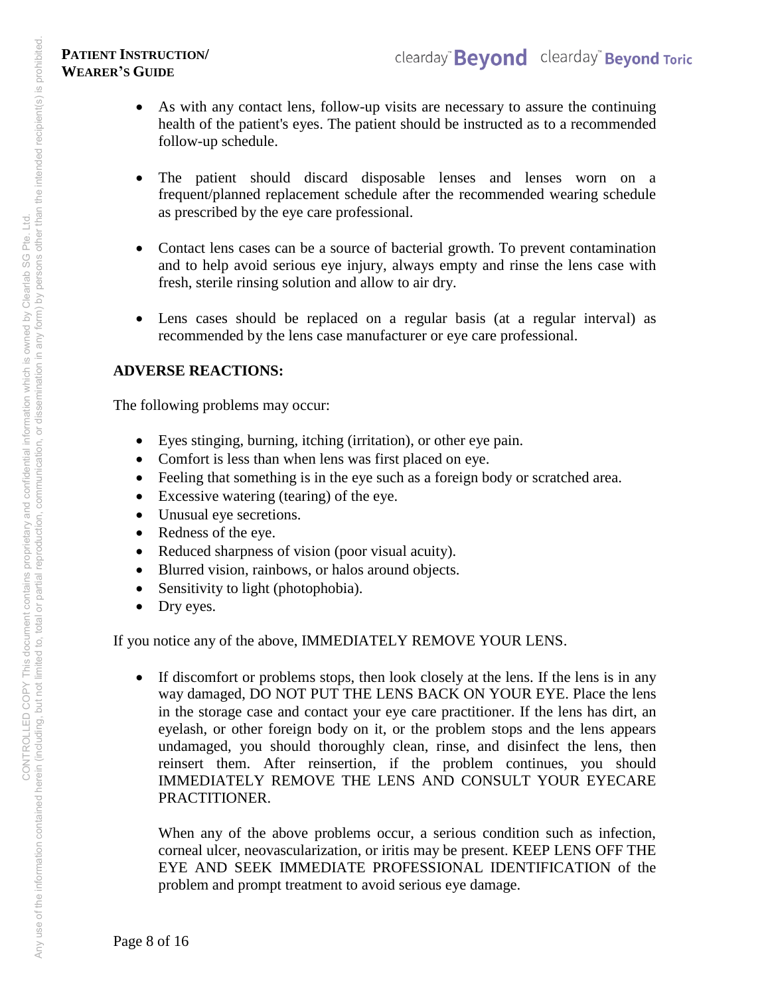- As with any contact lens, follow-up visits are necessary to assure the continuing health of the patient's eyes. The patient should be instructed as to a recommended follow-up schedule.
- The patient should discard disposable lenses and lenses worn on a frequent/planned replacement schedule after the recommended wearing schedule as prescribed by the eye care professional.
- Contact lens cases can be a source of bacterial growth. To prevent contamination and to help avoid serious eye injury, always empty and rinse the lens case with fresh, sterile rinsing solution and allow to air dry.
- Lens cases should be replaced on a regular basis (at a regular interval) as recommended by the lens case manufacturer or eye care professional.

### **ADVERSE REACTIONS:**

The following problems may occur:

- Eyes stinging, burning, itching (irritation), or other eye pain.
- Comfort is less than when lens was first placed on eye.
- Feeling that something is in the eye such as a foreign body or scratched area.
- Excessive watering (tearing) of the eye.
- Unusual eye secretions.
- Redness of the eye.
- Reduced sharpness of vision (poor visual acuity).
- Blurred vision, rainbows, or halos around objects.
- Sensitivity to light (photophobia).
- Dry eyes.

If you notice any of the above, IMMEDIATELY REMOVE YOUR LENS.

• If discomfort or problems stops, then look closely at the lens. If the lens is in any way damaged, DO NOT PUT THE LENS BACK ON YOUR EYE. Place the lens in the storage case and contact your eye care practitioner. If the lens has dirt, an eyelash, or other foreign body on it, or the problem stops and the lens appears undamaged, you should thoroughly clean, rinse, and disinfect the lens, then reinsert them. After reinsertion, if the problem continues, you should IMMEDIATELY REMOVE THE LENS AND CONSULT YOUR EYECARE PRACTITIONER.

When any of the above problems occur, a serious condition such as infection, corneal ulcer, neovascularization, or iritis may be present. KEEP LENS OFF THE EYE AND SEEK IMMEDIATE PROFESSIONAL IDENTIFICATION of the problem and prompt treatment to avoid serious eye damage.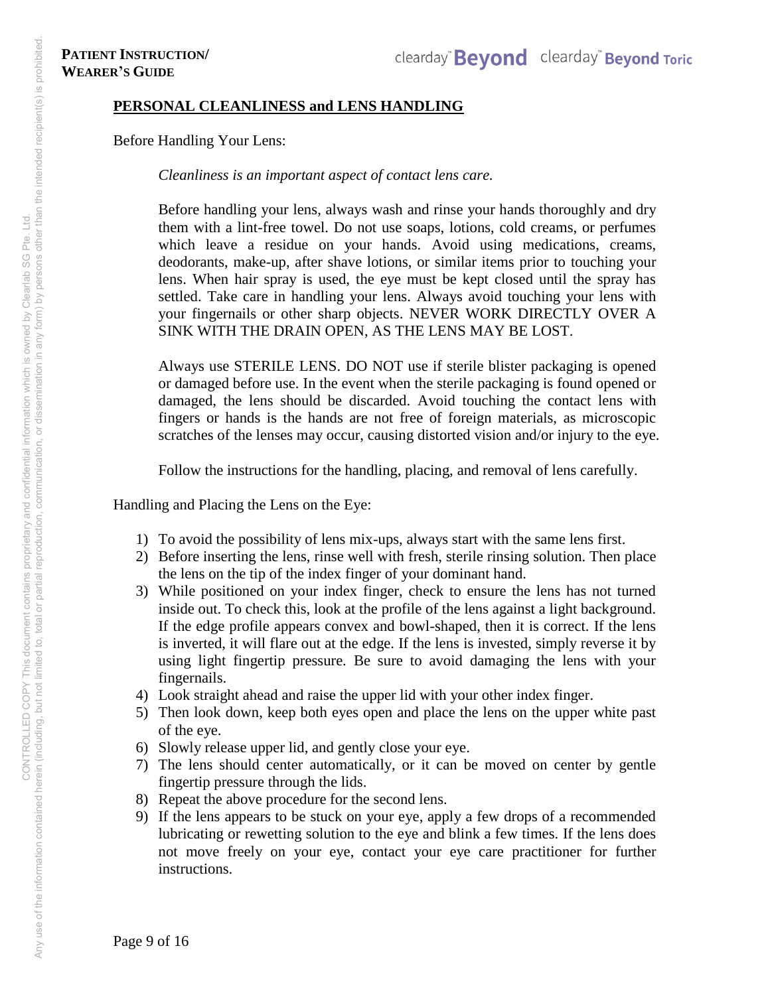#### **PERSONAL CLEANLINESS and LENS HANDLING**

Before Handling Your Lens:

*Cleanliness is an important aspect of contact lens care.* 

Before handling your lens, always wash and rinse your hands thoroughly and dry them with a lint-free towel. Do not use soaps, lotions, cold creams, or perfumes which leave a residue on your hands. Avoid using medications, creams, deodorants, make-up, after shave lotions, or similar items prior to touching your lens. When hair spray is used, the eye must be kept closed until the spray has settled. Take care in handling your lens. Always avoid touching your lens with your fingernails or other sharp objects. NEVER WORK DIRECTLY OVER A SINK WITH THE DRAIN OPEN, AS THE LENS MAY BE LOST.

Always use STERILE LENS. DO NOT use if sterile blister packaging is opened or damaged before use. In the event when the sterile packaging is found opened or damaged, the lens should be discarded. Avoid touching the contact lens with fingers or hands is the hands are not free of foreign materials, as microscopic scratches of the lenses may occur, causing distorted vision and/or injury to the eye.

Follow the instructions for the handling, placing, and removal of lens carefully.

Handling and Placing the Lens on the Eye:

- 1) To avoid the possibility of lens mix-ups, always start with the same lens first.
- 2) Before inserting the lens, rinse well with fresh, sterile rinsing solution. Then place the lens on the tip of the index finger of your dominant hand.
- 3) While positioned on your index finger, check to ensure the lens has not turned inside out. To check this, look at the profile of the lens against a light background. If the edge profile appears convex and bowl-shaped, then it is correct. If the lens is inverted, it will flare out at the edge. If the lens is invested, simply reverse it by using light fingertip pressure. Be sure to avoid damaging the lens with your fingernails.
- 4) Look straight ahead and raise the upper lid with your other index finger.
- 5) Then look down, keep both eyes open and place the lens on the upper white past of the eye.
- 6) Slowly release upper lid, and gently close your eye.
- 7) The lens should center automatically, or it can be moved on center by gentle fingertip pressure through the lids.
- 8) Repeat the above procedure for the second lens.
- 9) If the lens appears to be stuck on your eye, apply a few drops of a recommended lubricating or rewetting solution to the eye and blink a few times. If the lens does not move freely on your eye, contact your eye care practitioner for further instructions.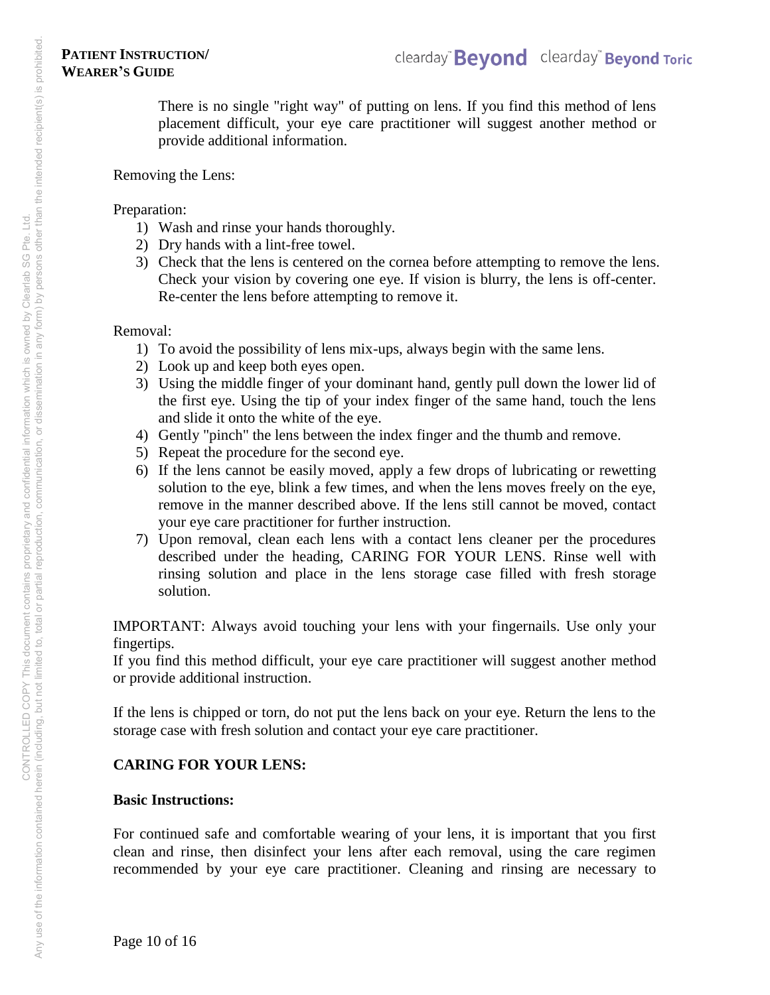There is no single "right way" of putting on lens. If you find this method of lens placement difficult, your eye care practitioner will suggest another method or provide additional information.

#### Removing the Lens:

#### Preparation:

- 1) Wash and rinse your hands thoroughly.
- 2) Dry hands with a lint-free towel.
- 3) Check that the lens is centered on the cornea before attempting to remove the lens. Check your vision by covering one eye. If vision is blurry, the lens is off-center. Re-center the lens before attempting to remove it.

#### Removal:

- 1) To avoid the possibility of lens mix-ups, always begin with the same lens.
- 2) Look up and keep both eyes open.
- 3) Using the middle finger of your dominant hand, gently pull down the lower lid of the first eye. Using the tip of your index finger of the same hand, touch the lens and slide it onto the white of the eye.
- 4) Gently "pinch" the lens between the index finger and the thumb and remove.
- 5) Repeat the procedure for the second eye.
- 6) If the lens cannot be easily moved, apply a few drops of lubricating or rewetting solution to the eye, blink a few times, and when the lens moves freely on the eye, remove in the manner described above. If the lens still cannot be moved, contact your eye care practitioner for further instruction.
- 7) Upon removal, clean each lens with a contact lens cleaner per the procedures described under the heading, CARING FOR YOUR LENS. Rinse well with rinsing solution and place in the lens storage case filled with fresh storage solution.

IMPORTANT: Always avoid touching your lens with your fingernails. Use only your fingertips.

If you find this method difficult, your eye care practitioner will suggest another method or provide additional instruction.

If the lens is chipped or torn, do not put the lens back on your eye. Return the lens to the storage case with fresh solution and contact your eye care practitioner.

# **CARING FOR YOUR LENS:**

# **Basic Instructions:**

For continued safe and comfortable wearing of your lens, it is important that you first clean and rinse, then disinfect your lens after each removal, using the care regimen recommended by your eye care practitioner. Cleaning and rinsing are necessary to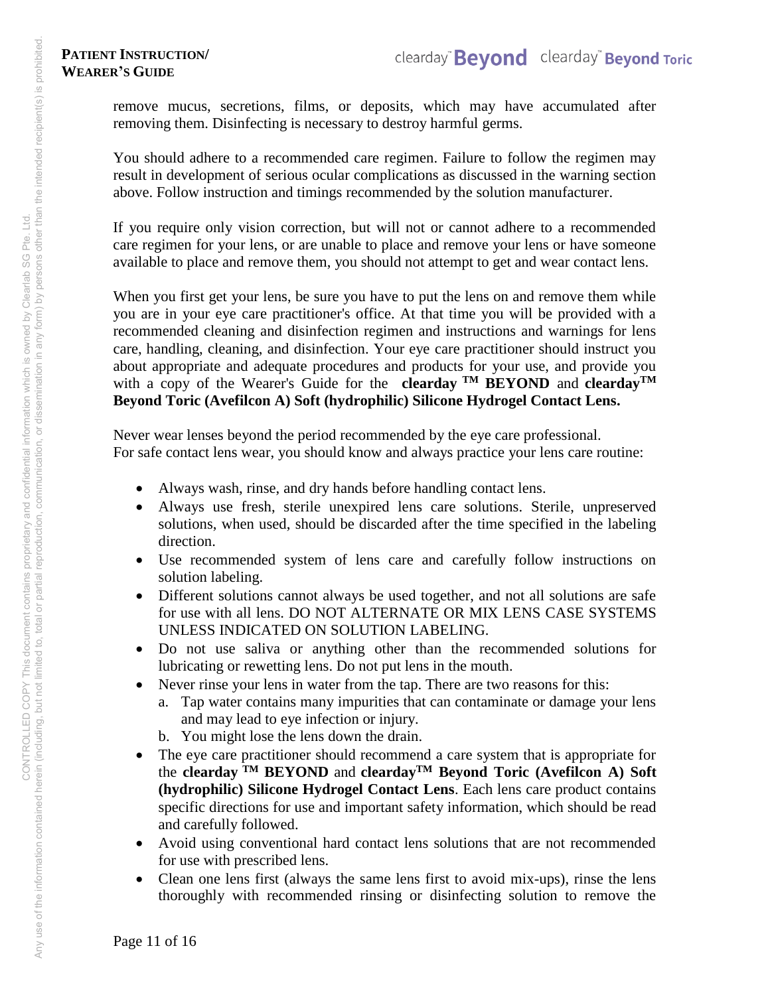remove mucus, secretions, films, or deposits, which may have accumulated after removing them. Disinfecting is necessary to destroy harmful germs.

You should adhere to a recommended care regimen. Failure to follow the regimen may result in development of serious ocular complications as discussed in the warning section above. Follow instruction and timings recommended by the solution manufacturer.

If you require only vision correction, but will not or cannot adhere to a recommended care regimen for your lens, or are unable to place and remove your lens or have someone available to place and remove them, you should not attempt to get and wear contact lens.

When you first get your lens, be sure you have to put the lens on and remove them while you are in your eye care practitioner's office. At that time you will be provided with a recommended cleaning and disinfection regimen and instructions and warnings for lens care, handling, cleaning, and disinfection. Your eye care practitioner should instruct you about appropriate and adequate procedures and products for your use, and provide you with a copy of the Wearer's Guide for the **clearday TM BEYOND** and **cleardayTM Beyond Toric (Avefilcon A) Soft (hydrophilic) Silicone Hydrogel Contact Lens.**

Never wear lenses beyond the period recommended by the eye care professional. For safe contact lens wear, you should know and always practice your lens care routine:

- Always wash, rinse, and dry hands before handling contact lens.
- Always use fresh, sterile unexpired lens care solutions. Sterile, unpreserved solutions, when used, should be discarded after the time specified in the labeling direction.
- Use recommended system of lens care and carefully follow instructions on solution labeling.
- Different solutions cannot always be used together, and not all solutions are safe for use with all lens. DO NOT ALTERNATE OR MIX LENS CASE SYSTEMS UNLESS INDICATED ON SOLUTION LABELING.
- Do not use saliva or anything other than the recommended solutions for lubricating or rewetting lens. Do not put lens in the mouth.
- Never rinse your lens in water from the tap. There are two reasons for this:
	- a. Tap water contains many impurities that can contaminate or damage your lens and may lead to eye infection or injury.
	- b. You might lose the lens down the drain.
- The eye care practitioner should recommend a care system that is appropriate for the **clearday TM BEYOND** and **cleardayTM Beyond Toric (Avefilcon A) Soft (hydrophilic) Silicone Hydrogel Contact Lens**. Each lens care product contains specific directions for use and important safety information, which should be read and carefully followed.
- Avoid using conventional hard contact lens solutions that are not recommended for use with prescribed lens.
- Clean one lens first (always the same lens first to avoid mix-ups), rinse the lens thoroughly with recommended rinsing or disinfecting solution to remove the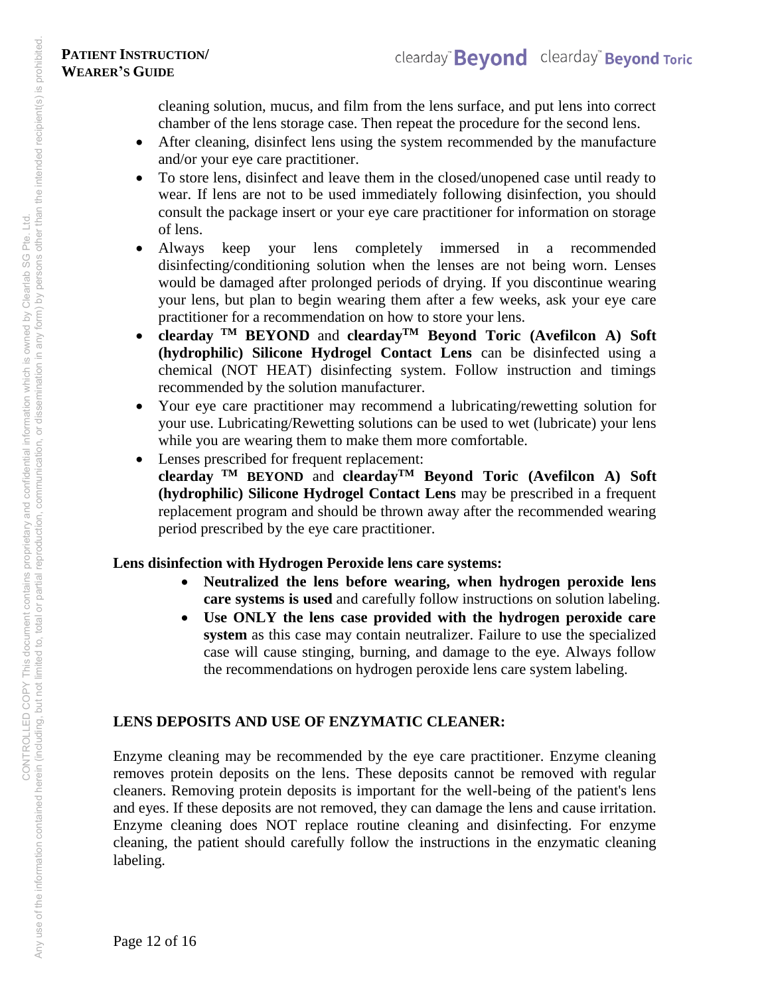cleaning solution, mucus, and film from the lens surface, and put lens into correct chamber of the lens storage case. Then repeat the procedure for the second lens.

- After cleaning, disinfect lens using the system recommended by the manufacture and/or your eye care practitioner.
- To store lens, disinfect and leave them in the closed/unopened case until ready to wear. If lens are not to be used immediately following disinfection, you should consult the package insert or your eye care practitioner for information on storage of lens.
- Always keep your lens completely immersed in a recommended disinfecting/conditioning solution when the lenses are not being worn. Lenses would be damaged after prolonged periods of drying. If you discontinue wearing your lens, but plan to begin wearing them after a few weeks, ask your eye care practitioner for a recommendation on how to store your lens.
- **clearday TM BEYOND** and **cleardayTM Beyond Toric (Avefilcon A) Soft (hydrophilic) Silicone Hydrogel Contact Lens** can be disinfected using a chemical (NOT HEAT) disinfecting system. Follow instruction and timings recommended by the solution manufacturer.
- Your eye care practitioner may recommend a lubricating/rewetting solution for your use. Lubricating/Rewetting solutions can be used to wet (lubricate) your lens while you are wearing them to make them more comfortable.
- Lenses prescribed for frequent replacement: **clearday TM BEYOND** and **cleardayTM Beyond Toric (Avefilcon A) Soft (hydrophilic) Silicone Hydrogel Contact Lens** may be prescribed in a frequent replacement program and should be thrown away after the recommended wearing period prescribed by the eye care practitioner.

# **Lens disinfection with Hydrogen Peroxide lens care systems:**

- **Neutralized the lens before wearing, when hydrogen peroxide lens care systems is used** and carefully follow instructions on solution labeling.
- **Use ONLY the lens case provided with the hydrogen peroxide care system** as this case may contain neutralizer. Failure to use the specialized case will cause stinging, burning, and damage to the eye. Always follow the recommendations on hydrogen peroxide lens care system labeling.

# **LENS DEPOSITS AND USE OF ENZYMATIC CLEANER:**

Enzyme cleaning may be recommended by the eye care practitioner. Enzyme cleaning removes protein deposits on the lens. These deposits cannot be removed with regular cleaners. Removing protein deposits is important for the well-being of the patient's lens and eyes. If these deposits are not removed, they can damage the lens and cause irritation. Enzyme cleaning does NOT replace routine cleaning and disinfecting. For enzyme cleaning, the patient should carefully follow the instructions in the enzymatic cleaning labeling.

Any use of the information contained herein (including, but not limited to, total or partial reproduction, communication, or dissemination in any form) by persons other than the intended recipient(s) is prohibited. Any use of the information contained herein (including, but not limited to, total or partial reproduction, communication, or dissemination in any form) by persons other than the intended recipient(s) is prohibited<br>Any use CONTROLLED COPY This document contains proprietary and confidential information which is owned by Clearlab SG Pte. Ltd.

Page 12 of 16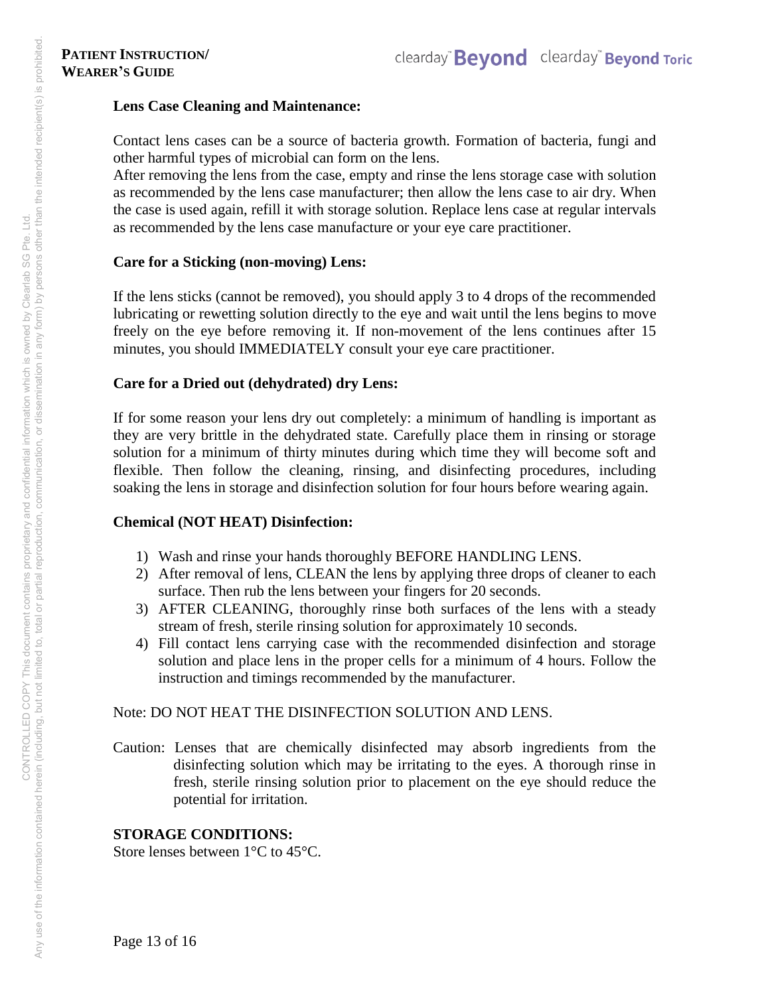### **Lens Case Cleaning and Maintenance:**

Contact lens cases can be a source of bacteria growth. Formation of bacteria, fungi and other harmful types of microbial can form on the lens.

After removing the lens from the case, empty and rinse the lens storage case with solution as recommended by the lens case manufacturer; then allow the lens case to air dry. When the case is used again, refill it with storage solution. Replace lens case at regular intervals as recommended by the lens case manufacture or your eye care practitioner.

# **Care for a Sticking (non-moving) Lens:**

If the lens sticks (cannot be removed), you should apply 3 to 4 drops of the recommended lubricating or rewetting solution directly to the eye and wait until the lens begins to move freely on the eye before removing it. If non-movement of the lens continues after 15 minutes, you should IMMEDIATELY consult your eye care practitioner.

# **Care for a Dried out (dehydrated) dry Lens:**

If for some reason your lens dry out completely: a minimum of handling is important as they are very brittle in the dehydrated state. Carefully place them in rinsing or storage solution for a minimum of thirty minutes during which time they will become soft and flexible. Then follow the cleaning, rinsing, and disinfecting procedures, including soaking the lens in storage and disinfection solution for four hours before wearing again.

# **Chemical (NOT HEAT) Disinfection:**

- 1) Wash and rinse your hands thoroughly BEFORE HANDLING LENS.
- 2) After removal of lens, CLEAN the lens by applying three drops of cleaner to each surface. Then rub the lens between your fingers for 20 seconds.
- 3) AFTER CLEANING, thoroughly rinse both surfaces of the lens with a steady stream of fresh, sterile rinsing solution for approximately 10 seconds.
- 4) Fill contact lens carrying case with the recommended disinfection and storage solution and place lens in the proper cells for a minimum of 4 hours. Follow the instruction and timings recommended by the manufacturer.

# Note: DO NOT HEAT THE DISINFECTION SOLUTION AND LENS.

Caution: Lenses that are chemically disinfected may absorb ingredients from the disinfecting solution which may be irritating to the eyes. A thorough rinse in fresh, sterile rinsing solution prior to placement on the eye should reduce the potential for irritation.

# **STORAGE CONDITIONS:**

Store lenses between 1°C to 45°C.

Page 13 of 16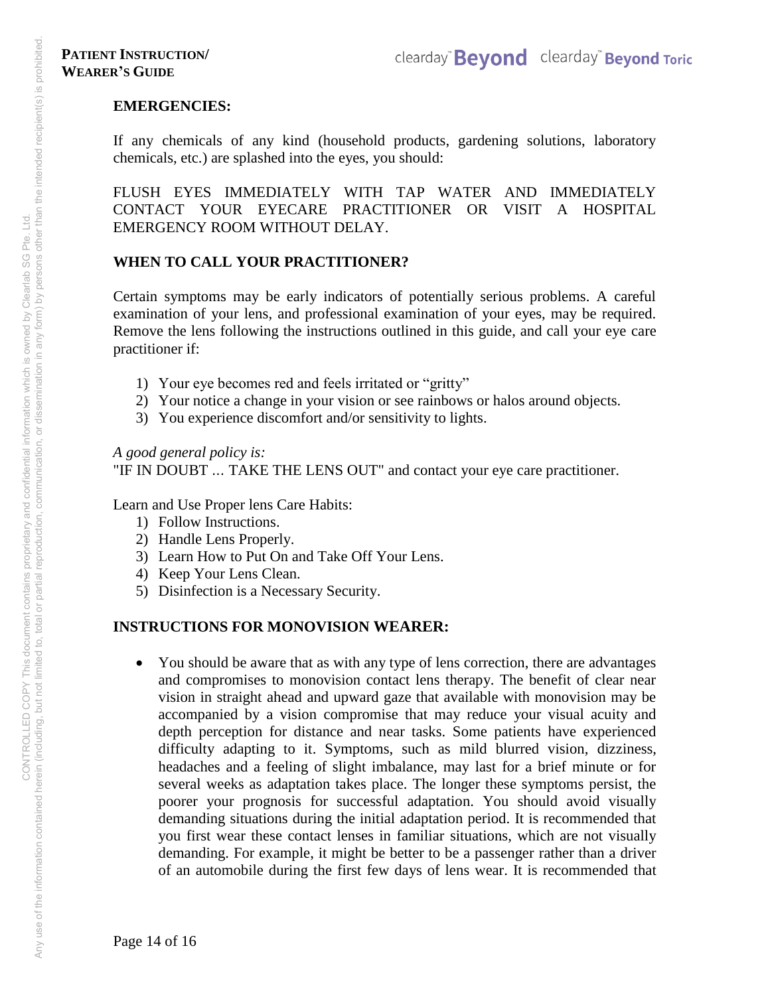### **EMERGENCIES:**

If any chemicals of any kind (household products, gardening solutions, laboratory chemicals, etc.) are splashed into the eyes, you should:

FLUSH EYES IMMEDIATELY WITH TAP WATER AND IMMEDIATELY CONTACT YOUR EYECARE PRACTITIONER OR VISIT A HOSPITAL EMERGENCY ROOM WITHOUT DELAY.

### **WHEN TO CALL YOUR PRACTITIONER?**

Certain symptoms may be early indicators of potentially serious problems. A careful examination of your lens, and professional examination of your eyes, may be required. Remove the lens following the instructions outlined in this guide, and call your eye care practitioner if:

- 1) Your eye becomes red and feels irritated or "gritty"
- 2) Your notice a change in your vision or see rainbows or halos around objects.
- 3) You experience discomfort and/or sensitivity to lights.

*A good general policy is:* "IF IN DOUBT ... TAKE THE LENS OUT" and contact your eye care practitioner.

Learn and Use Proper lens Care Habits:

- 1) Follow Instructions.
- 2) Handle Lens Properly.
- 3) Learn How to Put On and Take Off Your Lens.
- 4) Keep Your Lens Clean.
- 5) Disinfection is a Necessary Security.

### **INSTRUCTIONS FOR MONOVISION WEARER:**

 You should be aware that as with any type of lens correction, there are advantages and compromises to monovision contact lens therapy. The benefit of clear near vision in straight ahead and upward gaze that available with monovision may be accompanied by a vision compromise that may reduce your visual acuity and depth perception for distance and near tasks. Some patients have experienced difficulty adapting to it. Symptoms, such as mild blurred vision, dizziness, headaches and a feeling of slight imbalance, may last for a brief minute or for several weeks as adaptation takes place. The longer these symptoms persist, the poorer your prognosis for successful adaptation. You should avoid visually demanding situations during the initial adaptation period. It is recommended that you first wear these contact lenses in familiar situations, which are not visually demanding. For example, it might be better to be a passenger rather than a driver of an automobile during the first few days of lens wear. It is recommended that

Page 14 of 16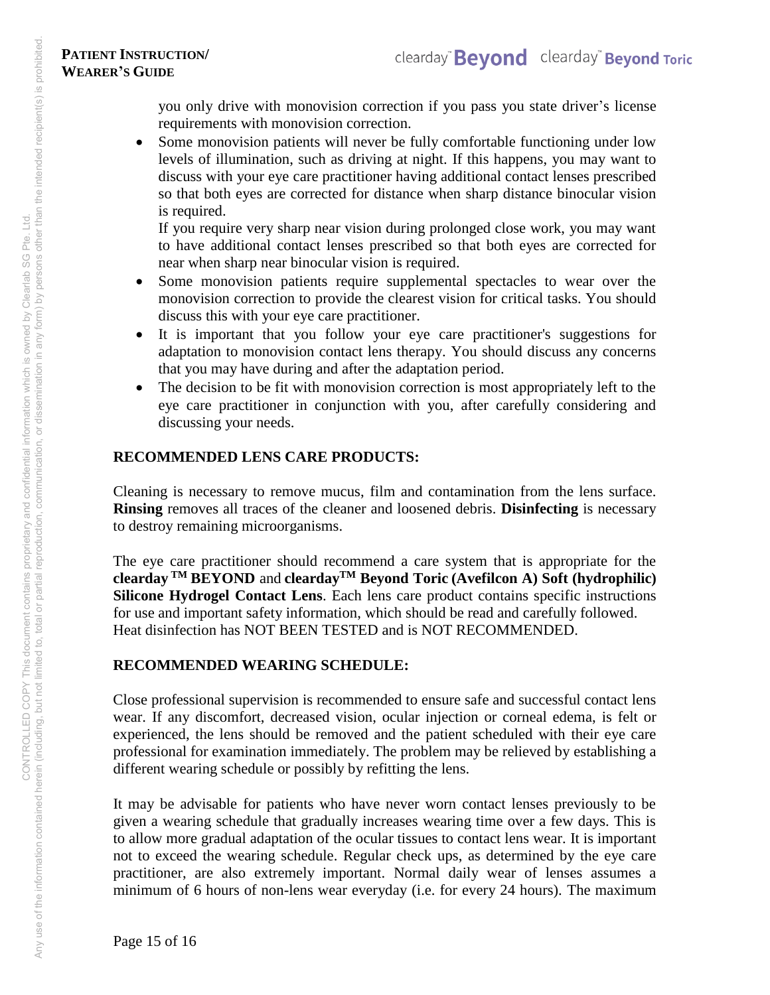you only drive with monovision correction if you pass you state driver's license requirements with monovision correction.

• Some monovision patients will never be fully comfortable functioning under low levels of illumination, such as driving at night. If this happens, you may want to discuss with your eye care practitioner having additional contact lenses prescribed so that both eyes are corrected for distance when sharp distance binocular vision is required.

If you require very sharp near vision during prolonged close work, you may want to have additional contact lenses prescribed so that both eyes are corrected for near when sharp near binocular vision is required.

- Some monovision patients require supplemental spectacles to wear over the monovision correction to provide the clearest vision for critical tasks. You should discuss this with your eye care practitioner.
- It is important that you follow your eye care practitioner's suggestions for adaptation to monovision contact lens therapy. You should discuss any concerns that you may have during and after the adaptation period.
- The decision to be fit with monovision correction is most appropriately left to the eye care practitioner in conjunction with you, after carefully considering and discussing your needs.

# **RECOMMENDED LENS CARE PRODUCTS:**

Cleaning is necessary to remove mucus, film and contamination from the lens surface. **Rinsing** removes all traces of the cleaner and loosened debris. **Disinfecting** is necessary to destroy remaining microorganisms.

The eye care practitioner should recommend a care system that is appropriate for the **clearday TM BEYOND** and **cleardayTM Beyond Toric (Avefilcon A) Soft (hydrophilic) Silicone Hydrogel Contact Lens**. Each lens care product contains specific instructions for use and important safety information, which should be read and carefully followed. Heat disinfection has NOT BEEN TESTED and is NOT RECOMMENDED.

# **RECOMMENDED WEARING SCHEDULE:**

Close professional supervision is recommended to ensure safe and successful contact lens wear. If any discomfort, decreased vision, ocular injection or corneal edema, is felt or experienced, the lens should be removed and the patient scheduled with their eye care professional for examination immediately. The problem may be relieved by establishing a different wearing schedule or possibly by refitting the lens.

It may be advisable for patients who have never worn contact lenses previously to be given a wearing schedule that gradually increases wearing time over a few days. This is to allow more gradual adaptation of the ocular tissues to contact lens wear. It is important not to exceed the wearing schedule. Regular check ups, as determined by the eye care practitioner, are also extremely important. Normal daily wear of lenses assumes a minimum of 6 hours of non-lens wear everyday (i.e. for every 24 hours). The maximum